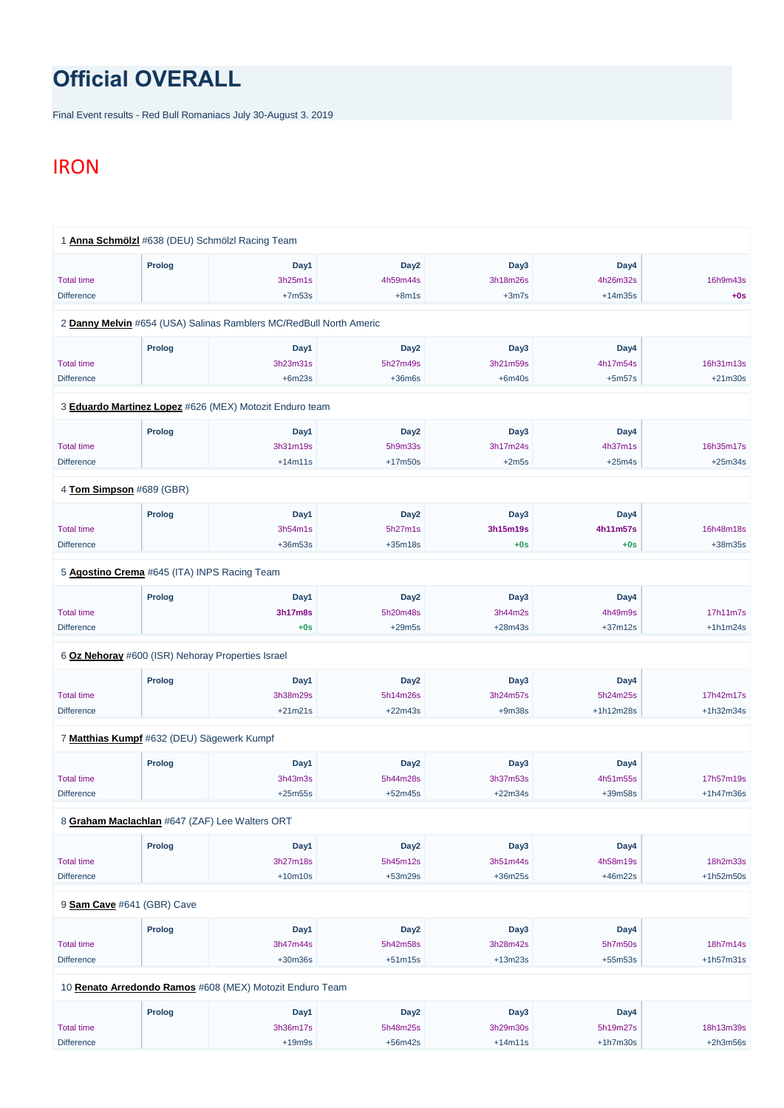## **Official OVERALL**

Final Event results - Red Bull Romaniacs July 30-August 3. 2019

## IRON

|                   | 1 Anna Schmölzl #638 (DEU) Schmölzl Racing Team   |                                                                    |                  |           |           |            |
|-------------------|---------------------------------------------------|--------------------------------------------------------------------|------------------|-----------|-----------|------------|
|                   | Prolog                                            | Day1                                                               | Day <sub>2</sub> | Day3      | Day4      |            |
| <b>Total time</b> |                                                   | 3h25m1s                                                            | 4h59m44s         | 3h18m26s  | 4h26m32s  | 16h9m43s   |
| <b>Difference</b> |                                                   | $+7m53s$                                                           | $+8m1s$          | $+3m7s$   | $+14m35s$ | $+0s$      |
|                   |                                                   | 2 Danny Melvin #654 (USA) Salinas Ramblers MC/RedBull North Americ |                  |           |           |            |
|                   | Prolog                                            | Day1                                                               | Day <sub>2</sub> | Day3      | Day4      |            |
| <b>Total time</b> |                                                   | 3h23m31s                                                           | 5h27m49s         | 3h21m59s  | 4h17m54s  | 16h31m13s  |
| <b>Difference</b> |                                                   | $+6m23s$                                                           | $+36m6s$         | $+6m40s$  | $+5m57s$  | $+21m30s$  |
|                   |                                                   | 3 Eduardo Martinez Lopez #626 (MEX) Motozit Enduro team            |                  |           |           |            |
|                   | Prolog                                            | Day1                                                               | Day <sub>2</sub> | Day3      | Day4      |            |
| <b>Total time</b> |                                                   | 3h31m19s                                                           | 5h9m33s          | 3h17m24s  | 4h37m1s   | 16h35m17s  |
| <b>Difference</b> |                                                   | $+14m11s$                                                          | $+17m50s$        | $+2m5s$   | $+25m4s$  | $+25m34s$  |
|                   | 4 Tom Simpson #689 (GBR)                          |                                                                    |                  |           |           |            |
|                   | Prolog                                            | Day1                                                               | Day <sub>2</sub> | Day3      | Day4      |            |
| <b>Total time</b> |                                                   | 3h54m1s                                                            | 5h27m1s          | 3h15m19s  | 4h11m57s  | 16h48m18s  |
| <b>Difference</b> |                                                   | $+36m53s$                                                          | $+35m18s$        | $+0s$     | $+0s$     | +38m35s    |
|                   | 5 Agostino Crema #645 (ITA) INPS Racing Team      |                                                                    |                  |           |           |            |
|                   | Prolog                                            | Day1                                                               | Day <sub>2</sub> | Day3      | Day4      |            |
| <b>Total time</b> |                                                   | 3h17m8s                                                            | 5h20m48s         | 3h44m2s   | 4h49m9s   | 17h11m7s   |
| <b>Difference</b> |                                                   | $+0s$                                                              | $+29m5s$         | $+28m43s$ | $+37m12s$ | $+1h1m24s$ |
|                   | 6 Oz Nehoray #600 (ISR) Nehoray Properties Israel |                                                                    |                  |           |           |            |
|                   | Prolog                                            | Day1                                                               | Day <sub>2</sub> | Day3      | Day4      |            |
| <b>Total time</b> |                                                   | 3h38m29s                                                           | 5h14m26s         | 3h24m57s  | 5h24m25s  | 17h42m17s  |
| <b>Difference</b> |                                                   | $+21m21s$                                                          | $+22m43s$        | $+9m38s$  | +1h12m28s | +1h32m34s  |
|                   | 7 Matthias Kumpf #632 (DEU) Sägewerk Kumpf        |                                                                    |                  |           |           |            |
|                   | Prolog                                            | Day1                                                               | Day <sub>2</sub> | Day3      | Day4      |            |
| <b>Total time</b> |                                                   | 3h43m3s                                                            | 5h44m28s         | 3h37m53s  | 4h51m55s  | 17h57m19s  |
|                   |                                                   |                                                                    |                  |           |           |            |

8 **[Graham Maclachlan](https://www.redbullromaniacs.com/for-competitors/profile/?e=rbr2019&b=647)** #647 (ZAF) Lee Walters ORT

|                            | <b>Prolog</b> | Day1                                                     | Day <sub>2</sub> | Day3      | Day4       |             |
|----------------------------|---------------|----------------------------------------------------------|------------------|-----------|------------|-------------|
| <b>Total time</b>          |               | 3h27m18s                                                 | 5h45m12s         | 3h51m44s  | 4h58m19s   | 18h2m33s    |
| <b>Difference</b>          |               | $+10m10s$                                                | $+53m29s$        | $+36m25s$ | $+46m22s$  | $+1h52m50s$ |
| 9 Sam Cave #641 (GBR) Cave |               |                                                          |                  |           |            |             |
|                            |               |                                                          |                  |           |            |             |
|                            | <b>Prolog</b> | Day1                                                     | Day <sub>2</sub> | Day3      | Day4       |             |
| <b>Total time</b>          |               | 3h47m44s                                                 | 5h42m58s         | 3h28m42s  | 5h7m50s    | 18h7m14s    |
| <b>Difference</b>          |               | $+30m36s$                                                | $+51m15s$        | $+13m23s$ | $+55m53s$  | $+1h57m31s$ |
|                            |               | 10 Renato Arredondo Ramos #608 (MEX) Motozit Enduro Team |                  |           |            |             |
|                            | Prolog        | Day1                                                     | Day <sub>2</sub> | Day3      | Day4       |             |
| <b>Total time</b>          |               | 3h36m17s                                                 | 5h48m25s         | 3h29m30s  | 5h19m27s   | 18h13m39s   |
| <b>Difference</b>          |               | $+19m9s$                                                 | $+56m42s$        | $+14m11s$ | $+1h7m30s$ | $+2h3m56s$  |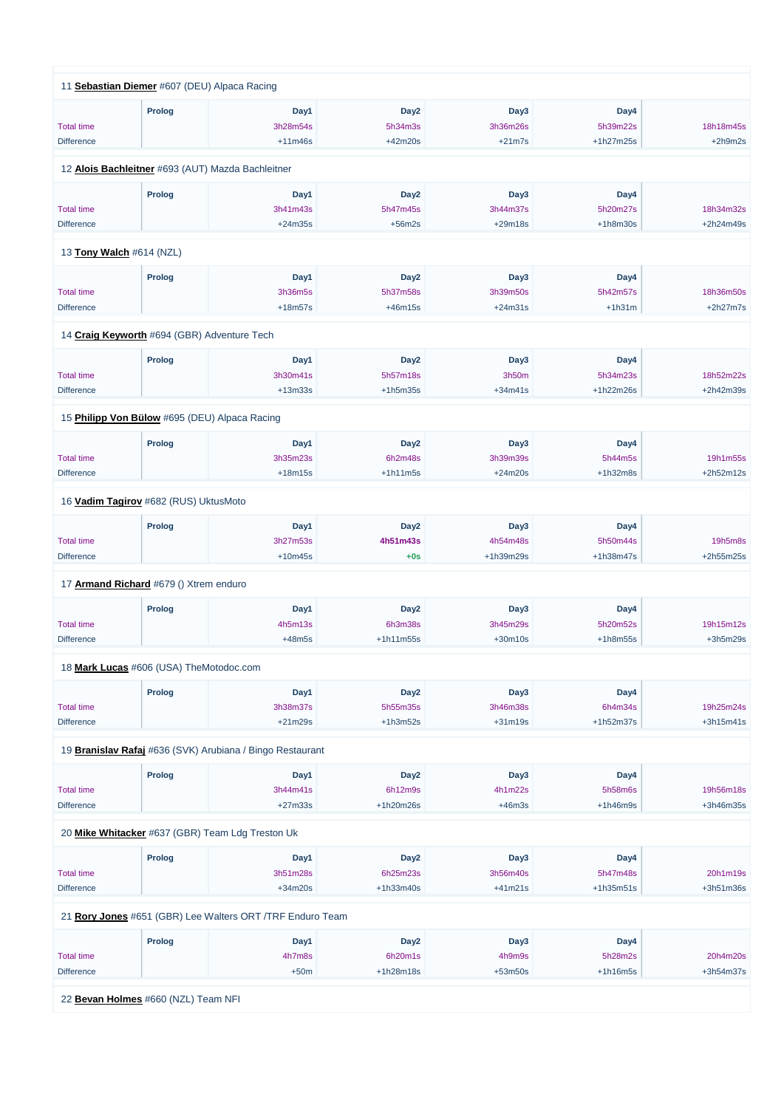|                          | 11 Sebastian Diemer #607 (DEU) Alpaca Racing      |                                                           |                  |           |            |             |
|--------------------------|---------------------------------------------------|-----------------------------------------------------------|------------------|-----------|------------|-------------|
|                          | <b>Prolog</b>                                     | Day1                                                      | Day <sub>2</sub> | Day3      | Day4       |             |
| <b>Total time</b>        |                                                   | 3h28m54s                                                  | 5h34m3s          | 3h36m26s  | 5h39m22s   | 18h18m45s   |
| <b>Difference</b>        |                                                   | $+11m46s$                                                 | +42m20s          | $+21m7s$  | +1h27m25s  | $+2h9m2s$   |
|                          |                                                   |                                                           |                  |           |            |             |
|                          | 12 Alois Bachleitner #693 (AUT) Mazda Bachleitner |                                                           |                  |           |            |             |
|                          | <b>Prolog</b>                                     | Day1                                                      | Day <sub>2</sub> | Day3      | Day4       |             |
| <b>Total time</b>        |                                                   | 3h41m43s                                                  | 5h47m45s         | 3h44m37s  | 5h20m27s   | 18h34m32s   |
| <b>Difference</b>        |                                                   | $+24m35s$                                                 | $+56m2s$         | $+29m18s$ | $+1h8m30s$ | $+2h24m49s$ |
| 13 Tony Walch #614 (NZL) |                                                   |                                                           |                  |           |            |             |
|                          | <b>Prolog</b>                                     | Day1                                                      | Day <sub>2</sub> | Day3      | Day4       |             |
| <b>Total time</b>        |                                                   | 3h36m5s                                                   | 5h37m58s         | 3h39m50s  | 5h42m57s   | 18h36m50s   |
| <b>Difference</b>        |                                                   | $+18m57s$                                                 | $+46m15s$        | $+24m31s$ | $+1h31m$   | $+2h27m7s$  |
|                          |                                                   |                                                           |                  |           |            |             |
|                          | 14 Craig Keyworth #694 (GBR) Adventure Tech       |                                                           |                  |           |            |             |
|                          | <b>Prolog</b>                                     | Day1                                                      | Day <sub>2</sub> | Day3      | Day4       |             |
| <b>Total time</b>        |                                                   | 3h30m41s                                                  | 5h57m18s         | 3h50m     | 5h34m23s   | 18h52m22s   |
| <b>Difference</b>        |                                                   | $+13m33s$                                                 | $+1h5m35s$       | $+34m41s$ | +1h22m26s  | +2h42m39s   |
|                          | 15 Philipp Von Bülow #695 (DEU) Alpaca Racing     |                                                           |                  |           |            |             |
|                          | <b>Prolog</b>                                     | Day1                                                      | Day <sub>2</sub> | Day3      | Day4       |             |
| <b>Total time</b>        |                                                   | 3h35m23s                                                  | 6h2m48s          | 3h39m39s  | 5h44m5s    | 19h1m55s    |
| <b>Difference</b>        |                                                   | $+18m15s$                                                 | $+1h11m5s$       | $+24m20s$ | $+1h32m8s$ | $+2h52m12s$ |
|                          | 16 <b>Vadim Tagirov</b> #682 (RUS) UktusMoto      |                                                           |                  |           |            |             |
|                          | <b>Prolog</b>                                     | Day1                                                      | Day <sub>2</sub> | Day3      | Day4       |             |
| <b>Total time</b>        |                                                   | 3h27m53s                                                  | 4h51m43s         | 4h54m48s  | 5h50m44s   | 19h5m8s     |
| <b>Difference</b>        |                                                   | $+10m45s$                                                 | $+0s$            | +1h39m29s | +1h38m47s  | +2h55m25s   |
|                          | 17 Armand Richard #679 () Xtrem enduro            |                                                           |                  |           |            |             |
|                          |                                                   |                                                           |                  |           |            |             |
|                          | <b>Prolog</b>                                     | Day1                                                      | Day <sub>2</sub> | Day3      | Day4       |             |
| <b>Total time</b>        |                                                   | 4h5m13s                                                   | 6h3m38s          | 3h45m29s  | 5h20m52s   | 19h15m12s   |
| <b>Difference</b>        |                                                   | $+48m5s$                                                  | +1h11m55s        | $+30m10s$ | $+1h8m55s$ | $+3h5m29s$  |
|                          | 18 Mark Lucas #606 (USA) TheMotodoc.com           |                                                           |                  |           |            |             |
|                          | <b>Prolog</b>                                     | Day1                                                      | Day <sub>2</sub> | Day3      | Day4       |             |
| <b>Total time</b>        |                                                   | 3h38m37s                                                  | 5h55m35s         | 3h46m38s  | 6h4m34s    | 19h25m24s   |
| <b>Difference</b>        |                                                   | $+21m29s$                                                 | $+1h3m52s$       | $+31m19s$ | +1h52m37s  | $+3h15m41s$ |
|                          |                                                   | 19 Branislav Rafaj #636 (SVK) Arubiana / Bingo Restaurant |                  |           |            |             |
|                          | <b>Prolog</b>                                     | Day1                                                      | Day <sub>2</sub> | Day3      | Day4       |             |
| <b>Total time</b>        |                                                   | 3h44m41s                                                  | 6h12m9s          | 4h1m22s   | 5h58m6s    | 19h56m18s   |
| <b>Difference</b>        |                                                   | $+27m33s$                                                 | +1h20m26s        | $+46m3s$  | $+1h46m9s$ | +3h46m35s   |
|                          |                                                   |                                                           |                  |           |            |             |

20 **[Mike Whitacker](https://www.redbullromaniacs.com/for-competitors/profile/?e=rbr2019&b=637)** #637 (GBR) Team Ldg Treston Uk

|                   | <b>Prolog</b> | Day1                                                      | Day <sub>2</sub> | Day3      | Day4        |             |
|-------------------|---------------|-----------------------------------------------------------|------------------|-----------|-------------|-------------|
| <b>Total time</b> |               | 3h51m28s                                                  | 6h25m23s         | 3h56m40s  | 5h47m48s    | 20h1m19s    |
| <b>Difference</b> |               | $+34m20s$                                                 | $+1h33m40s$      | $+41m21s$ | $+1h35m51s$ | $+3h51m36s$ |
|                   |               | 21 Rory Jones #651 (GBR) Lee Walters ORT /TRF Enduro Team |                  |           |             |             |
|                   | <b>Prolog</b> | Day1                                                      | Day <sub>2</sub> | Day3      | Day4        |             |
| <b>Total time</b> |               | 4h7m8s                                                    | 6h20m1s          | 4h9m9s    | 5h28m2s     | 20h4m20s    |
| <b>Difference</b> |               | $+50m$                                                    | $+1h28m18s$      | $+53m50s$ | $+1h16m5s$  | $+3h54m37s$ |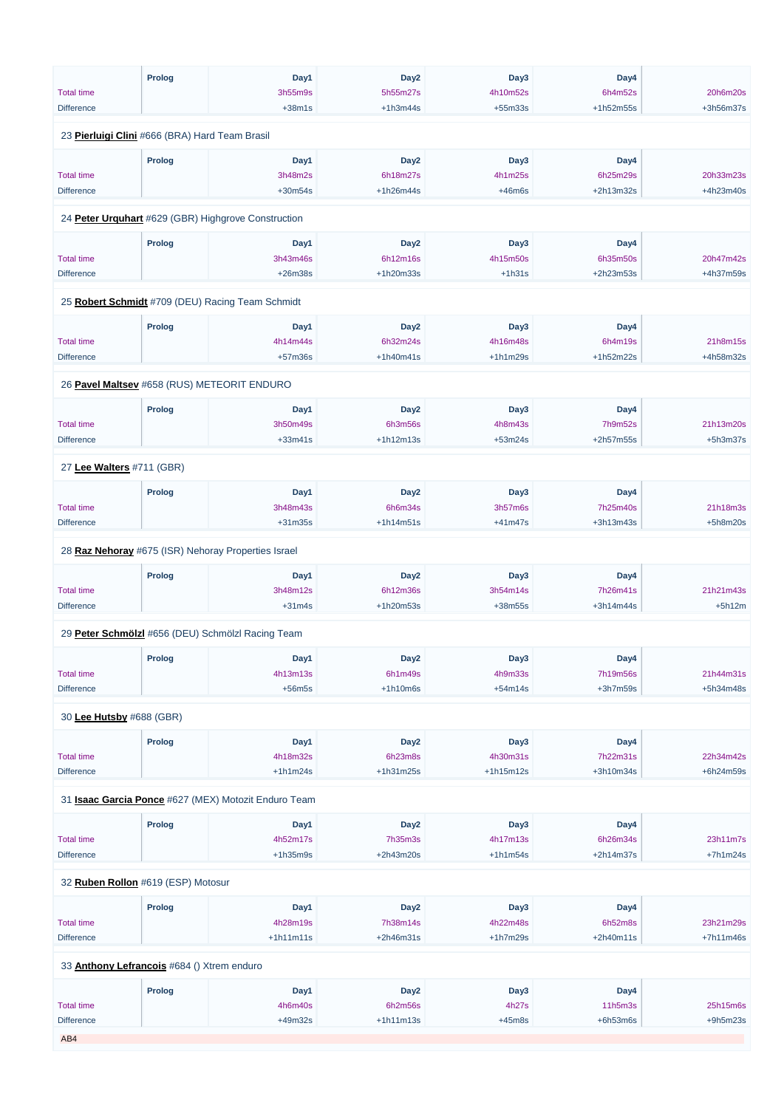|                                                | <b>Prolog</b> | Day1                                                 | Day <sub>2</sub> | Day3        | Day4        |            |
|------------------------------------------------|---------------|------------------------------------------------------|------------------|-------------|-------------|------------|
| <b>Total time</b>                              |               | 3h55m9s                                              | 5h55m27s         | 4h10m52s    | 6h4m52s     | 20h6m20s   |
| <b>Difference</b>                              |               | $+38m1s$                                             | $+1h3m44s$       | $+55m33s$   | +1h52m55s   | +3h56m37s  |
| 23 Pierluigi Clini #666 (BRA) Hard Team Brasil |               |                                                      |                  |             |             |            |
|                                                | <b>Prolog</b> | Day1                                                 | Day <sub>2</sub> | Day3        | Day4        |            |
| <b>Total time</b>                              |               | 3h48m2s                                              | 6h18m27s         | 4h1m25s     | 6h25m29s    | 20h33m23s  |
| <b>Difference</b>                              |               | $+30m54s$                                            | $+1h26m44s$      | $+46m6s$    | $+2h13m32s$ | +4h23m40s  |
|                                                |               |                                                      |                  |             |             |            |
|                                                |               | 24 Peter Urguhart #629 (GBR) Highgrove Construction  |                  |             |             |            |
|                                                | <b>Prolog</b> | Day1                                                 | Day <sub>2</sub> | Day3        | Day4        |            |
| <b>Total time</b>                              |               | 3h43m46s                                             | 6h12m16s         | 4h15m50s    | 6h35m50s    | 20h47m42s  |
| <b>Difference</b>                              |               | $+26m38s$                                            | +1h20m33s        | $+1h31s$    | +2h23m53s   | +4h37m59s  |
|                                                |               | 25 Robert Schmidt #709 (DEU) Racing Team Schmidt     |                  |             |             |            |
|                                                | <b>Prolog</b> | Day1                                                 | Day <sub>2</sub> | Day3        | Day4        |            |
| <b>Total time</b>                              |               | 4h14m44s                                             | 6h32m24s         | 4h16m48s    | 6h4m19s     | 21h8m15s   |
| <b>Difference</b>                              |               | $+57m36s$                                            | $+1h40m41s$      | $+1h1m29s$  | +1h52m22s   | +4h58m32s  |
|                                                |               |                                                      |                  |             |             |            |
|                                                |               | 26 Pavel Maltsev #658 (RUS) METEORIT ENDURO          |                  |             |             |            |
|                                                | <b>Prolog</b> | Day1                                                 | Day <sub>2</sub> | Day3        | Day4        |            |
| <b>Total time</b>                              |               | 3h50m49s                                             | 6h3m56s          | 4h8m43s     | 7h9m52s     | 21h13m20s  |
| <b>Difference</b>                              |               | $+33m41s$                                            | $+1h12m13s$      | $+53m24s$   | $+2h57m55s$ | $+5h3m37s$ |
| 27 Lee Walters #711 (GBR)                      |               |                                                      |                  |             |             |            |
|                                                | <b>Prolog</b> | Day1                                                 | Day <sub>2</sub> | Day3        | Day4        |            |
| <b>Total time</b>                              |               | 3h48m43s                                             | 6h6m34s          | 3h57m6s     | 7h25m40s    | 21h18m3s   |
| <b>Difference</b>                              |               | $+31m35s$                                            | $+1h14m51s$      | $+41m47s$   | +3h13m43s   | $+5h8m20s$ |
|                                                |               |                                                      |                  |             |             |            |
|                                                |               | 28 Raz Nehoray #675 (ISR) Nehoray Properties Israel  |                  |             |             |            |
|                                                | <b>Prolog</b> | Day1                                                 | Day <sub>2</sub> | Day3        | Day4        |            |
| <b>Total time</b>                              |               | 3h48m12s                                             | 6h12m36s         | 3h54m14s    | 7h26m41s    | 21h21m43s  |
| <b>Difference</b>                              |               | $+31m4s$                                             | +1h20m53s        | +38m55s     | +3h14m44s   | $+5h12m$   |
|                                                |               | 29 Peter Schmölzl #656 (DEU) Schmölzl Racing Team    |                  |             |             |            |
|                                                | <b>Prolog</b> | Day1                                                 | Day <sub>2</sub> | Day3        | Day4        |            |
| <b>Total time</b>                              |               | 4h13m13s                                             | 6h1m49s          | 4h9m33s     | 7h19m56s    | 21h44m31s  |
| <b>Difference</b>                              |               | $+56m5s$                                             | $+1h10m6s$       | $+54m14s$   | $+3h7m59s$  | +5h34m48s  |
|                                                |               |                                                      |                  |             |             |            |
| 30 Lee Hutsby #688 (GBR)                       |               |                                                      |                  |             |             |            |
|                                                | <b>Prolog</b> | Day1                                                 | Day <sub>2</sub> | Day3        | Day4        |            |
| <b>Total time</b>                              |               | 4h18m32s                                             | 6h23m8s          | 4h30m31s    | 7h22m31s    | 22h34m42s  |
| <b>Difference</b>                              |               | $+1h1m24s$                                           | $+1h31m25s$      | $+1h15m12s$ | +3h10m34s   | +6h24m59s  |
|                                                |               |                                                      |                  |             |             |            |
|                                                |               | 31 Isaac Garcia Ponce #627 (MEX) Motozit Enduro Team |                  |             |             |            |

| <b>Prolog</b> | Dav1 | Day <sub>2</sub> | Day3 | Dav4 |  |
|---------------|------|------------------|------|------|--|
|               |      |                  |      |      |  |

| <b>Total time</b> |                                            | 4h52m17s    | 7h35m3s          | 4h17m13s   | 6h26m34s    | 23h11m7s    |
|-------------------|--------------------------------------------|-------------|------------------|------------|-------------|-------------|
| <b>Difference</b> |                                            | $+1h35m9s$  | $+2h43m20s$      | $+1h1m54s$ | $+2h14m37s$ | $+7h1m24s$  |
|                   |                                            |             |                  |            |             |             |
|                   | 32 Ruben Rollon #619 (ESP) Motosur         |             |                  |            |             |             |
|                   | Prolog                                     | Day1        | Day <sub>2</sub> | Day3       | Day4        |             |
| <b>Total time</b> |                                            | 4h28m19s    | 7h38m14s         | 4h22m48s   | 6h52m8s     | 23h21m29s   |
| <b>Difference</b> |                                            | $+1h11m11s$ | $+2h46m31s$      | $+1h7m29s$ | $+2h40m11s$ | $+7h11m46s$ |
|                   | 33 Anthony Lefrancois #684 () Xtrem enduro |             |                  |            |             |             |
|                   | Prolog                                     | Day1        | Day <sub>2</sub> | Day3       | Day4        |             |
| <b>Total time</b> |                                            | 4h6m40s     | 6h2m56s          | 4h27s      | 11h5m3s     | 25h15m6s    |
| <b>Difference</b> |                                            | +49m32s     | $+1h11m13s$      | $+45m8s$   | $+6h53m6s$  | $+9h5m23s$  |
| AB4               |                                            |             |                  |            |             |             |
|                   |                                            |             |                  |            |             |             |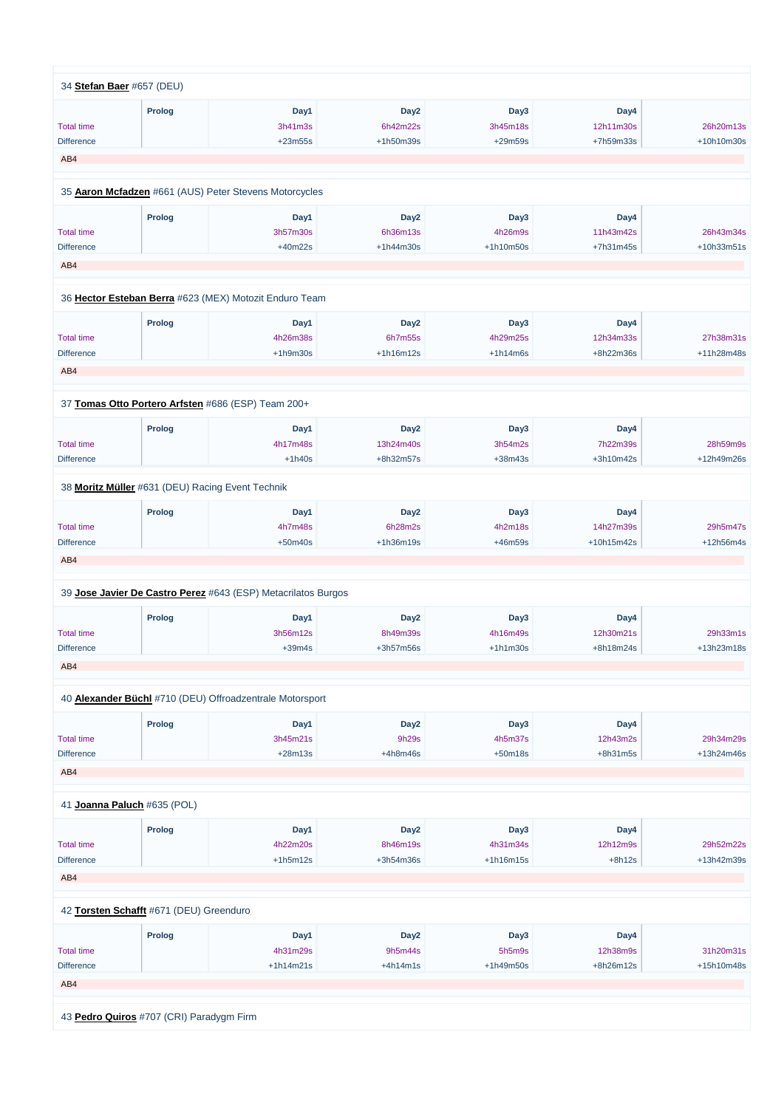| 34 Stefan Baer #657 (DEU)   |               |                                                                 |                  |                  |            |            |
|-----------------------------|---------------|-----------------------------------------------------------------|------------------|------------------|------------|------------|
|                             | <b>Prolog</b> | Day1                                                            | Day <sub>2</sub> | Day <sub>3</sub> | Day4       |            |
| <b>Total time</b>           |               | 3h41m3s                                                         | 6h42m22s         | 3h45m18s         | 12h11m30s  | 26h20m13s  |
| <b>Difference</b>           |               | $+23m55s$                                                       | +1h50m39s        | $+29m59s$        | +7h59m33s  | +10h10m30s |
|                             |               |                                                                 |                  |                  |            |            |
| AB4                         |               |                                                                 |                  |                  |            |            |
|                             |               | 35 Aaron Mcfadzen #661 (AUS) Peter Stevens Motorcycles          |                  |                  |            |            |
|                             | <b>Prolog</b> | Day1                                                            | Day <sub>2</sub> | Day <sub>3</sub> | Day4       |            |
| <b>Total time</b>           |               | 3h57m30s                                                        | 6h36m13s         | 4h26m9s          | 11h43m42s  | 26h43m34s  |
| <b>Difference</b>           |               | $+40m22s$                                                       | $+1h44m30s$      | $+1h10m50s$      | +7h31m45s  | +10h33m51s |
| AB4                         |               |                                                                 |                  |                  |            |            |
|                             |               |                                                                 |                  |                  |            |            |
|                             |               | 36 Hector Esteban Berra #623 (MEX) Motozit Enduro Team          |                  |                  |            |            |
|                             | Prolog        | Day1                                                            | Day <sub>2</sub> | Day3             | Day4       |            |
| <b>Total time</b>           |               | 4h26m38s                                                        | 6h7m55s          | 4h29m25s         | 12h34m33s  | 27h38m31s  |
| <b>Difference</b>           |               | $+1h9m30s$                                                      | $+1h16m12s$      | $+1h14m6s$       | +8h22m36s  | +11h28m48s |
| AB4                         |               |                                                                 |                  |                  |            |            |
|                             |               |                                                                 |                  |                  |            |            |
|                             |               | 37 Tomas Otto Portero Arfsten #686 (ESP) Team 200+              |                  |                  |            |            |
|                             | Prolog        | Day1                                                            | Day <sub>2</sub> | Day <sub>3</sub> | Day4       |            |
| <b>Total time</b>           |               | 4h17m48s                                                        | 13h24m40s        | 3h54m2s          | 7h22m39s   | 28h59m9s   |
| <b>Difference</b>           |               | $+1h40s$                                                        | +8h32m57s        | $+38m43s$        | +3h10m42s  | +12h49m26s |
|                             |               | 38 Moritz Müller #631 (DEU) Racing Event Technik                |                  |                  |            |            |
|                             | <b>Prolog</b> | Day1                                                            | Day <sub>2</sub> | Day3             | Day4       |            |
| <b>Total time</b>           |               | 4h7m48s                                                         | 6h28m2s          | 4h2m18s          | 14h27m39s  | 29h5m47s   |
| <b>Difference</b>           |               | $+50m40s$                                                       | +1h36m19s        | +46m59s          | +10h15m42s | +12h56m4s  |
| AB4                         |               |                                                                 |                  |                  |            |            |
|                             |               |                                                                 |                  |                  |            |            |
|                             |               | 39 Jose Javier De Castro Perez #643 (ESP) Metacrilatos Burgos   |                  |                  |            |            |
|                             | <b>Prolog</b> | Day1                                                            | Day <sub>2</sub> | Day3             | Day4       |            |
| <b>Total time</b>           |               | 3h56m12s                                                        | 8h49m39s         | 4h16m49s         | 12h30m21s  | 29h33m1s   |
| <b>Difference</b>           |               | $+39m4s$                                                        | +3h57m56s        | $+1h1m30s$       | +8h18m24s  | +13h23m18s |
| AB4                         |               |                                                                 |                  |                  |            |            |
|                             |               |                                                                 |                  |                  |            |            |
|                             |               | 40 <b>Alexander Büchl</b> #710 (DEU) Offroadzentrale Motorsport |                  |                  |            |            |
|                             | <b>Prolog</b> | Day1                                                            | Day <sub>2</sub> | Day <sub>3</sub> | Day4       |            |
| <b>Total time</b>           |               | 3h45m21s                                                        | 9h29s            | 4h5m37s          | 12h43m2s   | 29h34m29s  |
| <b>Difference</b>           |               | $+28m13s$                                                       | $+4h8m46s$       | $+50m18s$        | $+8h31m5s$ | +13h24m46s |
| AB4                         |               |                                                                 |                  |                  |            |            |
|                             |               |                                                                 |                  |                  |            |            |
| 41 Joanna Paluch #635 (POL) |               |                                                                 |                  |                  |            |            |

| Prolog<br>Dav4<br>Dav3<br>Dav2<br>Dav1 |  |
|----------------------------------------|--|
|                                        |  |

|               | 4h22m20s    | 8h46m19s                                                                            | 4h31m34s    |           | 29h52m22s  |
|---------------|-------------|-------------------------------------------------------------------------------------|-------------|-----------|------------|
|               | $+1h5m12s$  | $+3h54m36s$                                                                         | $+1h16m15s$ | $+8h12s$  | +13h42m39s |
|               |             |                                                                                     |             |           |            |
|               |             |                                                                                     |             |           |            |
|               |             |                                                                                     |             |           |            |
|               |             |                                                                                     |             |           |            |
| <b>Prolog</b> | Day1        | Day <sub>2</sub>                                                                    | Day3        | Day4      |            |
|               | 4h31m29s    | 9h5m44s                                                                             | 5h5m9s      | 12h38m9s  | 31h20m31s  |
|               | $+1h14m21s$ | $+4h14m1s$                                                                          | $+1h49m50s$ | +8h26m12s | +15h10m48s |
|               |             |                                                                                     |             |           |            |
|               |             |                                                                                     |             |           |            |
|               |             |                                                                                     |             |           |            |
|               |             |                                                                                     |             |           |            |
|               |             | 42 Torsten Schafft #671 (DEU) Greenduro<br>43 Pedro Quiros #707 (CRI) Paradygm Firm |             |           | 12h12m9s   |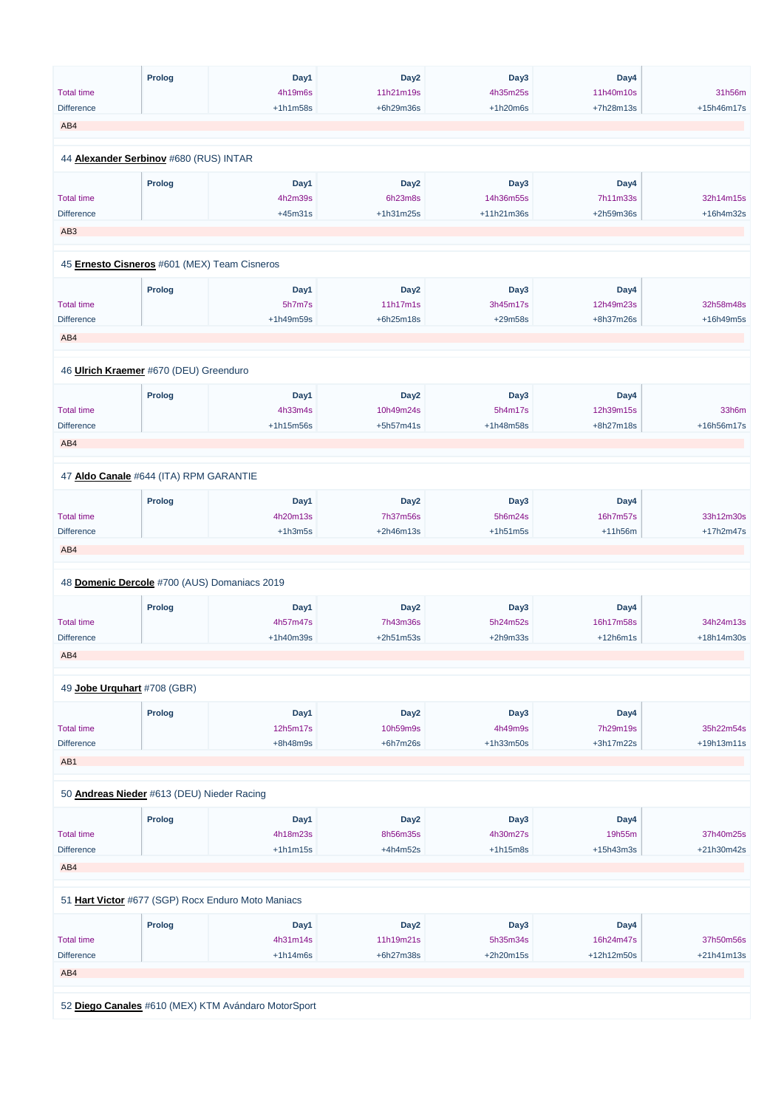|                   | <b>Prolog</b>                                | Day1       | Day <sub>2</sub> | Day3             | Day4        |            |
|-------------------|----------------------------------------------|------------|------------------|------------------|-------------|------------|
| <b>Total time</b> |                                              | 4h19m6s    | 11h21m19s        | 4h35m25s         | 11h40m10s   | 31h56m     |
| <b>Difference</b> |                                              | $+1h1m58s$ | +6h29m36s        | $+1h20m6s$       | +7h28m13s   | +15h46m17s |
| AB4               |                                              |            |                  |                  |             |            |
|                   |                                              |            |                  |                  |             |            |
|                   | 44 Alexander Serbinov #680 (RUS) INTAR       |            |                  |                  |             |            |
|                   | <b>Prolog</b>                                | Day1       | Day <sub>2</sub> | Day3             | Day4        |            |
| <b>Total time</b> |                                              | 4h2m39s    | 6h23m8s          | 14h36m55s        | 7h11m33s    | 32h14m15s  |
| <b>Difference</b> |                                              | $+45m31s$  | $+1h31m25s$      | +11h21m36s       | +2h59m36s   | +16h4m32s  |
| AB <sub>3</sub>   |                                              |            |                  |                  |             |            |
|                   | 45 Ernesto Cisneros #601 (MEX) Team Cisneros |            |                  |                  |             |            |
|                   |                                              |            |                  |                  |             |            |
|                   | <b>Prolog</b>                                | Day1       | Day <sub>2</sub> | Day3             | Day4        |            |
| <b>Total time</b> |                                              | 5h7m7s     | 11h17m1s         | 3h45m17s         | 12h49m23s   | 32h58m48s  |
| <b>Difference</b> |                                              | +1h49m59s  | +6h25m18s        | $+29m58s$        | +8h37m26s   | +16h49m5s  |
| AB4               |                                              |            |                  |                  |             |            |
|                   |                                              |            |                  |                  |             |            |
|                   | 46 Ulrich Kraemer #670 (DEU) Greenduro       |            |                  |                  |             |            |
|                   |                                              |            |                  |                  |             |            |
|                   | <b>Prolog</b>                                | Day1       | Day <sub>2</sub> | Day3             | Day4        |            |
| <b>Total time</b> |                                              | 4h33m4s    | 10h49m24s        | 5h4m17s          | 12h39m15s   | 33h6m      |
| <b>Difference</b> |                                              | +1h15m56s  | +5h57m41s        | +1h48m58s        | +8h27m18s   | +16h56m17s |
| AB4               |                                              |            |                  |                  |             |            |
|                   |                                              |            |                  |                  |             |            |
|                   | 47 Aldo Canale #644 (ITA) RPM GARANTIE       |            |                  |                  |             |            |
|                   | <b>Prolog</b>                                | Day1       | Day <sub>2</sub> | Day3             | Day4        |            |
| <b>Total time</b> |                                              | 4h20m13s   | 7h37m56s         | 5h6m24s          | 16h7m57s    | 33h12m30s  |
| <b>Difference</b> |                                              | $+1h3m5s$  | +2h46m13s        | $+1h51m5s$       | $+11h56m$   | +17h2m47s  |
| AB4               |                                              |            |                  |                  |             |            |
|                   |                                              |            |                  |                  |             |            |
|                   | 48 Domenic Dercole #700 (AUS) Domaniacs 2019 |            |                  |                  |             |            |
|                   | <b>Prolog</b>                                | Day1       | Day <sub>2</sub> | Day3             | Day4        |            |
| <b>Total time</b> |                                              | 4h57m47s   | 7h43m36s         | 5h24m52s         | 16h17m58s   | 34h24m13s  |
| <b>Difference</b> |                                              | +1h40m39s  | +2h51m53s        | $+2h9m33s$       | $+12h6m1s$  | +18h14m30s |
| AB4               |                                              |            |                  |                  |             |            |
|                   |                                              |            |                  |                  |             |            |
|                   | 49 Jobe Urguhart #708 (GBR)                  |            |                  |                  |             |            |
|                   | <b>Prolog</b>                                | Day1       | Day <sub>2</sub> | Day <sub>3</sub> | Day4        |            |
| <b>Total time</b> |                                              | 12h5m17s   | 10h59m9s         | 4h49m9s          | 7h29m19s    | 35h22m54s  |
| <b>Difference</b> |                                              | $+8h48m9s$ | $+6h7m26s$       | +1h33m50s        | $+3h17m22s$ | +19h13m11s |
|                   |                                              |            |                  |                  |             |            |
| AB1               |                                              |            |                  |                  |             |            |
|                   | 50 Andreas Nieder #613 (DEU) Nieder Racing   |            |                  |                  |             |            |
|                   |                                              |            |                  |                  |             |            |
|                   | <b>Prolog</b>                                | Day1       | Day <sub>2</sub> | Day3             | Day4        |            |

Total time

4h18m23s

8h56m35s

4h30m27s

19h55m

37h40m25s

| <b>Difference</b> |               | $+1h1m15s$                                          | $+4h4m52s$       | $+1h15m8s$  | $+15h43m3s$ | +21h30m42s   |
|-------------------|---------------|-----------------------------------------------------|------------------|-------------|-------------|--------------|
| AB4               |               |                                                     |                  |             |             |              |
|                   |               |                                                     |                  |             |             |              |
|                   |               | 51 Hart Victor #677 (SGP) Rocx Enduro Moto Maniacs  |                  |             |             |              |
|                   |               |                                                     |                  |             |             |              |
|                   | <b>Prolog</b> | Day1                                                | Day <sub>2</sub> | Day3        | Day4        |              |
| <b>Total time</b> |               | 4h31m14s                                            | 11h19m21s        | 5h35m34s    | 16h24m47s   | 37h50m56s    |
| <b>Difference</b> |               | $+1h14m6s$                                          | +6h27m38s        | $+2h20m15s$ | +12h12m50s  | $+21h41m13s$ |
| AB4               |               |                                                     |                  |             |             |              |
|                   |               |                                                     |                  |             |             |              |
|                   |               | 52 Diego Canales #610 (MEX) KTM Avándaro MotorSport |                  |             |             |              |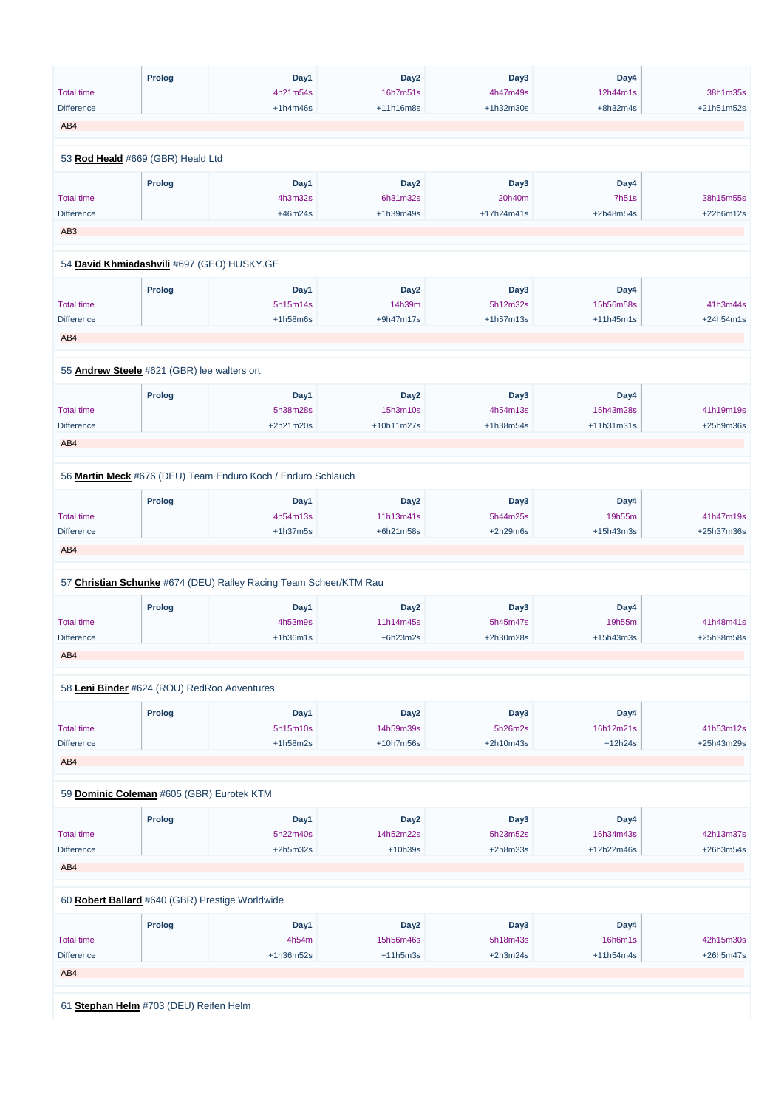|                          | <b>Prolog</b>                               | Day1                                                              | Day <sub>2</sub> | Day3       | Day4         |             |
|--------------------------|---------------------------------------------|-------------------------------------------------------------------|------------------|------------|--------------|-------------|
| <b>Total time</b>        |                                             | 4h21m54s                                                          | 16h7m51s         | 4h47m49s   | 12h44m1s     | 38h1m35s    |
| <b>Difference</b>        |                                             | $+1h4m46s$                                                        | +11h16m8s        | +1h32m30s  | $+8h32m4s$   | +21h51m52s  |
| AB4                      |                                             |                                                                   |                  |            |              |             |
|                          |                                             |                                                                   |                  |            |              |             |
|                          | 53 Rod Heald #669 (GBR) Heald Ltd           |                                                                   |                  |            |              |             |
|                          | <b>Prolog</b>                               | Day1                                                              | Day <sub>2</sub> | Day3       | Day4         |             |
| <b>Total time</b>        |                                             | 4h3m32s                                                           | 6h31m32s         | 20h40m     | <b>7h51s</b> | 38h15m55s   |
| <b>Difference</b>        |                                             | $+46m24s$                                                         | +1h39m49s        | +17h24m41s | +2h48m54s    | +22h6m12s   |
| AB <sub>3</sub>          |                                             |                                                                   |                  |            |              |             |
|                          |                                             |                                                                   |                  |            |              |             |
|                          | 54 David Khmiadashvili #697 (GEO) HUSKY.GE  |                                                                   |                  |            |              |             |
|                          | <b>Prolog</b>                               | Day1                                                              | Day <sub>2</sub> | Day3       | Day4         |             |
| <b>Total time</b>        |                                             | 5h15m14s                                                          | 14h39m           | 5h12m32s   | 15h56m58s    | 41h3m44s    |
| <b>Difference</b>        |                                             | $+1h58m6s$                                                        | +9h47m17s        | +1h57m13s  | $+11h45m1s$  | $+24h54m1s$ |
| AB4                      |                                             |                                                                   |                  |            |              |             |
|                          |                                             |                                                                   |                  |            |              |             |
|                          | 55 Andrew Steele #621 (GBR) lee walters ort |                                                                   |                  |            |              |             |
|                          | <b>Prolog</b>                               | Day1                                                              | Day <sub>2</sub> | Day3       | Day4         |             |
| <b>Total time</b>        |                                             | 5h38m28s                                                          | 15h3m10s         | 4h54m13s   | 15h43m28s    | 41h19m19s   |
| <b>Difference</b>        |                                             | +2h21m20s                                                         | +10h11m27s       | +1h38m54s  | +11h31m31s   | +25h9m36s   |
| AB4                      |                                             |                                                                   |                  |            |              |             |
|                          |                                             |                                                                   |                  |            |              |             |
|                          |                                             | 56 Martin Meck #676 (DEU) Team Enduro Koch / Enduro Schlauch      |                  |            |              |             |
|                          | <b>Prolog</b>                               | Day1                                                              | Day <sub>2</sub> | Day3       | Day4         |             |
| <b>Total time</b>        |                                             | 4h54m13s                                                          | 11h13m41s        | 5h44m25s   | 19h55m       | 41h47m19s   |
| <b>Difference</b>        |                                             | $+1h37m5s$                                                        | +6h21m58s        | $+2h29m6s$ | $+15h43m3s$  | +25h37m36s  |
| AB4                      |                                             |                                                                   |                  |            |              |             |
|                          |                                             | 57 Christian Schunke #674 (DEU) Ralley Racing Team Scheer/KTM Rau |                  |            |              |             |
|                          |                                             |                                                                   |                  |            |              |             |
|                          | <b>Prolog</b>                               | Day1                                                              | Day <sub>2</sub> | Day3       | Day4         | 41h48m41s   |
| <b>Total time</b>        |                                             | 4h53m9s                                                           | 11h14m45s        | 5h45m47s   | 19h55m       |             |
| <b>Difference</b><br>AB4 |                                             | $+1h36m1s$                                                        | $+6h23m2s$       | +2h30m28s  | $+15h43m3s$  | +25h38m58s  |
|                          |                                             |                                                                   |                  |            |              |             |
|                          | 58 Leni Binder #624 (ROU) RedRoo Adventures |                                                                   |                  |            |              |             |
|                          | <b>Prolog</b>                               | Day1                                                              | Day <sub>2</sub> | Day3       | Day4         |             |
| <b>Total time</b>        |                                             | 5h15m10s                                                          | 14h59m39s        | 5h26m2s    | 16h12m21s    | 41h53m12s   |
| <b>Difference</b>        |                                             | $+1h58m2s$                                                        | +10h7m56s        | +2h10m43s  | $+12h24s$    | +25h43m29s  |
| AB4                      |                                             |                                                                   |                  |            |              |             |
|                          |                                             |                                                                   |                  |            |              |             |
|                          | 59 Dominic Coleman #605 (GBR) Eurotek KTM   |                                                                   |                  |            |              |             |
|                          | <b>Prolog</b>                               | Day1                                                              | Day <sub>2</sub> | Day3       | Day4         |             |
| Total time               |                                             | 5h22m40s                                                          | 14h52m22s        | 5h23m52s   | 16h34m43s    | 42h13m37s   |

5h23m52s

| <b>Total time</b>                               |               | 5h22m40s    | 14h52m22s        | 5h23m52s   | 16h34m43s   | 42h13m37s   |
|-------------------------------------------------|---------------|-------------|------------------|------------|-------------|-------------|
| <b>Difference</b>                               |               | $+2h5m32s$  | $+10h39s$        | $+2h8m33s$ | +12h22m46s  | $+26h3m54s$ |
| AB4                                             |               |             |                  |            |             |             |
|                                                 |               |             |                  |            |             |             |
|                                                 |               |             |                  |            |             |             |
| 60 Robert Ballard #640 (GBR) Prestige Worldwide |               |             |                  |            |             |             |
|                                                 |               |             |                  |            |             |             |
|                                                 | <b>Prolog</b> | Day1        | Day <sub>2</sub> | Day3       | Day4        |             |
| <b>Total time</b>                               |               | 4h54m       | 15h56m46s        | 5h18m43s   | 16h6m1s     | 42h15m30s   |
| <b>Difference</b>                               |               | $+1h36m52s$ | $+11h5m3s$       | $+2h3m24s$ | $+11h54m4s$ | $+26h5m47s$ |
| AB4                                             |               |             |                  |            |             |             |
|                                                 |               |             |                  |            |             |             |
|                                                 |               |             |                  |            |             |             |
| 61 Stephan Helm #703 (DEU) Reifen Helm          |               |             |                  |            |             |             |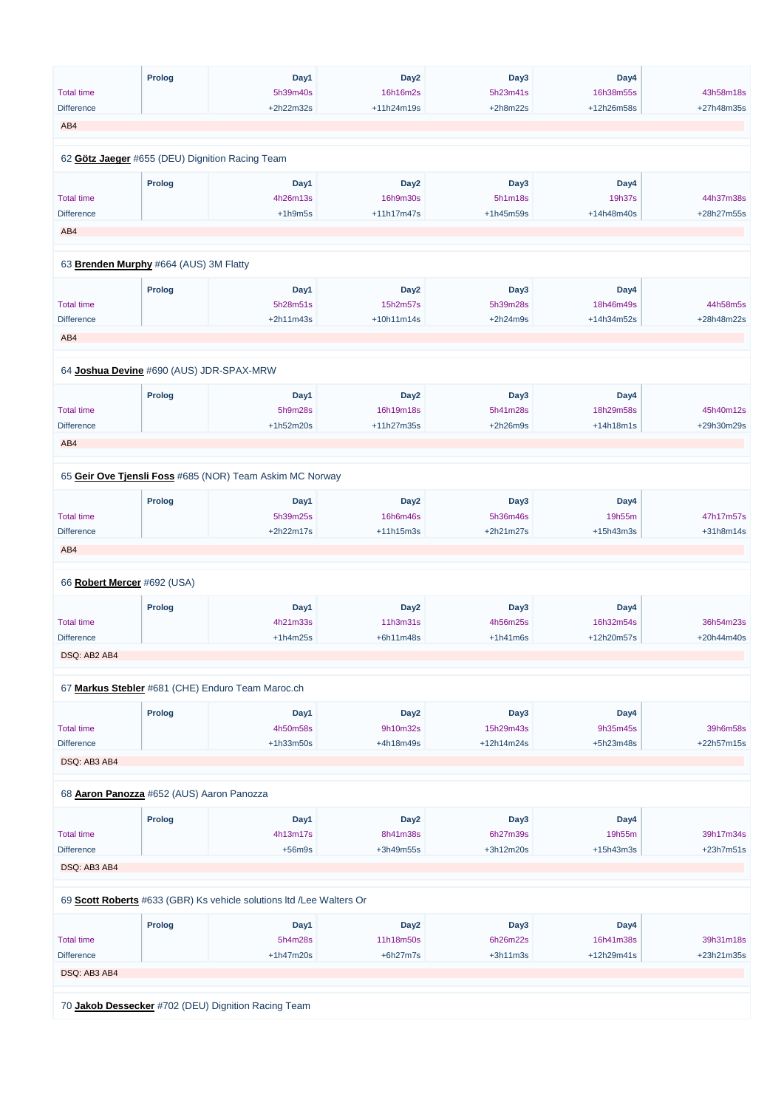|                                           | <b>Prolog</b> | Day1                                                     | Day <sub>2</sub>              | Day3                   | Day4        |                         |
|-------------------------------------------|---------------|----------------------------------------------------------|-------------------------------|------------------------|-------------|-------------------------|
| <b>Total time</b>                         |               | 5h39m40s                                                 | 16h16m2s                      | 5h23m41s               | 16h38m55s   | 43h58m18s               |
| <b>Difference</b>                         |               | +2h22m32s                                                | +11h24m19s                    | $+2h8m22s$             | +12h26m58s  | +27h48m35s              |
| AB4                                       |               |                                                          |                               |                        |             |                         |
|                                           |               |                                                          |                               |                        |             |                         |
|                                           |               | 62 Götz Jaeger #655 (DEU) Dignition Racing Team          |                               |                        |             |                         |
|                                           | <b>Prolog</b> | Day1                                                     | Day <sub>2</sub>              | Day <sub>3</sub>       | Day4        |                         |
| <b>Total time</b>                         |               | 4h26m13s                                                 | 16h9m30s                      | 5h1m18s                | 19h37s      | 44h37m38s               |
| <b>Difference</b>                         |               | $+1h9m5s$                                                | +11h17m47s                    | +1h45m59s              | +14h48m40s  | +28h27m55s              |
| AB4                                       |               |                                                          |                               |                        |             |                         |
|                                           |               |                                                          |                               |                        |             |                         |
| 63 Brenden Murphy #664 (AUS) 3M Flatty    |               |                                                          |                               |                        |             |                         |
|                                           | <b>Prolog</b> | Day1                                                     | Day <sub>2</sub>              | Day3                   | Day4        |                         |
| <b>Total time</b>                         |               | 5h28m51s                                                 | 15h2m57s                      | 5h39m28s               | 18h46m49s   | 44h58m5s                |
| <b>Difference</b>                         |               | $+2h11m43s$                                              | +10h11m14s                    | $+2h24m9s$             | +14h34m52s  | +28h48m22s              |
| AB4                                       |               |                                                          |                               |                        |             |                         |
|                                           |               |                                                          |                               |                        |             |                         |
| 64 Joshua Devine #690 (AUS) JDR-SPAX-MRW  |               |                                                          |                               |                        |             |                         |
|                                           |               |                                                          |                               |                        |             |                         |
| <b>Total time</b>                         | <b>Prolog</b> | Day1                                                     | Day <sub>2</sub><br>16h19m18s | Day <sub>3</sub>       | Day4        |                         |
| <b>Difference</b>                         |               | 5h9m28s<br>$+1h52m20s$                                   | +11h27m35s                    | 5h41m28s<br>$+2h26m9s$ | 18h29m58s   | 45h40m12s<br>+29h30m29s |
|                                           |               |                                                          |                               |                        | $+14h18m1s$ |                         |
| AB4                                       |               |                                                          |                               |                        |             |                         |
|                                           |               |                                                          |                               |                        |             |                         |
|                                           |               | 65 Geir Ove Tjensli Foss #685 (NOR) Team Askim MC Norway |                               |                        |             |                         |
|                                           | <b>Prolog</b> | Day1                                                     | Day <sub>2</sub>              | Day <sub>3</sub>       | Day4        |                         |
| <b>Total time</b>                         |               | 5h39m25s                                                 | 16h6m46s                      | 5h36m46s               | 19h55m      | 47h17m57s               |
| <b>Difference</b>                         |               | $+2h22m17s$                                              | +11h15m3s                     | $+2h21m27s$            | +15h43m3s   | +31h8m14s               |
| AB4                                       |               |                                                          |                               |                        |             |                         |
|                                           |               |                                                          |                               |                        |             |                         |
| 66 Robert Mercer #692 (USA)               |               |                                                          |                               |                        |             |                         |
|                                           | <b>Prolog</b> | Day1                                                     | Day <sub>2</sub>              | Day <sub>3</sub>       | Day4        |                         |
| <b>Total time</b>                         |               | 4h21m33s                                                 | 11h3m31s                      | 4h56m25s               | 16h32m54s   | 36h54m23s               |
| <b>Difference</b>                         |               | $+1h4m25s$                                               | $+6h11m48s$                   | $+1h41m6s$             | +12h20m57s  | +20h44m40s              |
| DSQ: AB2 AB4                              |               |                                                          |                               |                        |             |                         |
|                                           |               |                                                          |                               |                        |             |                         |
|                                           |               | 67 Markus Stebler #681 (CHE) Enduro Team Maroc.ch        |                               |                        |             |                         |
|                                           | <b>Prolog</b> | Day1                                                     | Day <sub>2</sub>              | Day <sub>3</sub>       | Day4        |                         |
| <b>Total time</b>                         |               | 4h50m58s                                                 | 9h10m32s                      | 15h29m43s              | 9h35m45s    | 39h6m58s                |
| <b>Difference</b>                         |               | +1h33m50s                                                | +4h18m49s                     | +12h14m24s             | +5h23m48s   | +22h57m15s              |
| DSQ: AB3 AB4                              |               |                                                          |                               |                        |             |                         |
|                                           |               |                                                          |                               |                        |             |                         |
| 68 Aaron Panozza #652 (AUS) Aaron Panozza |               |                                                          |                               |                        |             |                         |
|                                           | <b>Prolog</b> | Day1                                                     | Day <sub>2</sub>              | Day3                   | Day4        |                         |
|                                           |               |                                                          |                               |                        |             |                         |

Total time

4h13m17s

8h41m38s

6h27m39s

19h55m

39h17m34s

| <b>Difference</b> |                                                     | $+56m9s$                                                             | $+3h49m55s$      | $+3h12m20s$ | $+15h43m3s$  | $+23h7m51s$  |  |
|-------------------|-----------------------------------------------------|----------------------------------------------------------------------|------------------|-------------|--------------|--------------|--|
| DSQ: AB3 AB4      |                                                     |                                                                      |                  |             |              |              |  |
|                   |                                                     |                                                                      |                  |             |              |              |  |
|                   |                                                     | 69 Scott Roberts #633 (GBR) Ks vehicle solutions Itd /Lee Walters Or |                  |             |              |              |  |
|                   |                                                     |                                                                      |                  |             |              |              |  |
|                   | <b>Prolog</b>                                       | Day1                                                                 | Day <sub>2</sub> | Day3        | Day4         |              |  |
| <b>Total time</b> |                                                     | 5h4m28s                                                              | 11h18m50s        | 6h26m22s    | 16h41m38s    | 39h31m18s    |  |
| <b>Difference</b> |                                                     | $+1h47m20s$                                                          | $+6h27m7s$       | $+3h11m3s$  | $+12h29m41s$ | $+23h21m35s$ |  |
| DSQ: AB3 AB4      |                                                     |                                                                      |                  |             |              |              |  |
|                   |                                                     |                                                                      |                  |             |              |              |  |
|                   | 70 Jakob Dessecker #702 (DEU) Dignition Racing Team |                                                                      |                  |             |              |              |  |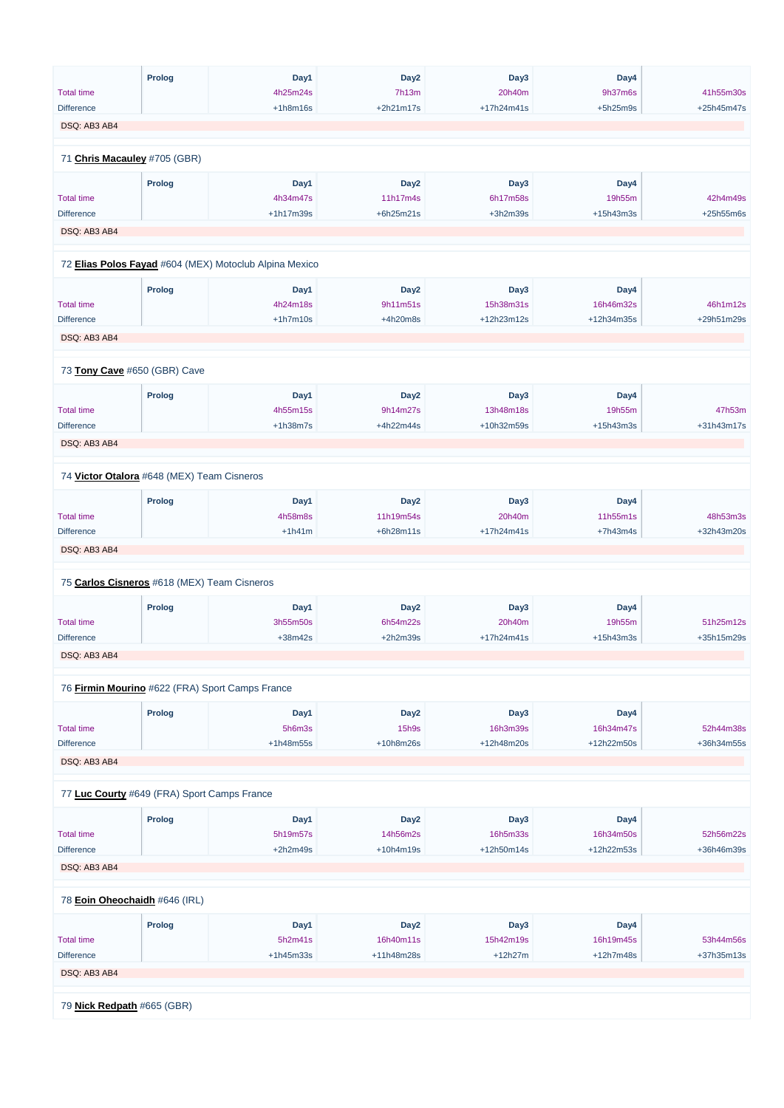|                   | <b>Prolog</b>                                          | Day1       | Day <sub>2</sub> | Day <sub>3</sub> | Day4        |            |
|-------------------|--------------------------------------------------------|------------|------------------|------------------|-------------|------------|
| <b>Total time</b> |                                                        | 4h25m24s   | 7h13m            | 20h40m           | 9h37m6s     | 41h55m30s  |
| <b>Difference</b> |                                                        | $+1h8m16s$ | +2h21m17s        | +17h24m41s       | $+5h25m9s$  | +25h45m47s |
| DSQ: AB3 AB4      |                                                        |            |                  |                  |             |            |
|                   |                                                        |            |                  |                  |             |            |
|                   | 71 Chris Macauley #705 (GBR)                           |            |                  |                  |             |            |
|                   | <b>Prolog</b>                                          | Day1       | Day <sub>2</sub> | Day <sub>3</sub> | Day4        |            |
| <b>Total time</b> |                                                        | 4h34m47s   | 11h17m4s         | 6h17m58s         | 19h55m      | 42h4m49s   |
| <b>Difference</b> |                                                        | +1h17m39s  | +6h25m21s        | $+3h2m39s$       | +15h43m3s   | +25h55m6s  |
| DSQ: AB3 AB4      |                                                        |            |                  |                  |             |            |
|                   | 72 Elias Polos Fayad #604 (MEX) Motoclub Alpina Mexico |            |                  |                  |             |            |
|                   |                                                        |            |                  |                  |             |            |
|                   | <b>Prolog</b>                                          | Day1       | Day <sub>2</sub> | Day <sub>3</sub> | Day4        |            |
| <b>Total time</b> |                                                        | 4h24m18s   | 9h11m51s         | 15h38m31s        | 16h46m32s   | 46h1m12s   |
| <b>Difference</b> |                                                        | $+1h7m10s$ | +4h20m8s         | +12h23m12s       | +12h34m35s  | +29h51m29s |
| DSQ: AB3 AB4      |                                                        |            |                  |                  |             |            |
|                   |                                                        |            |                  |                  |             |            |
|                   | 73 Tony Cave #650 (GBR) Cave                           |            |                  |                  |             |            |
|                   | <b>Prolog</b>                                          | Day1       | Day <sub>2</sub> | Day <sub>3</sub> | Day4        |            |
| <b>Total time</b> |                                                        | 4h55m15s   | 9h14m27s         | 13h48m18s        | 19h55m      | 47h53m     |
| <b>Difference</b> |                                                        | $+1h38m7s$ | +4h22m44s        | +10h32m59s       | +15h43m3s   | +31h43m17s |
| DSQ: AB3 AB4      |                                                        |            |                  |                  |             |            |
|                   |                                                        |            |                  |                  |             |            |
|                   | 74 Victor Otalora #648 (MEX) Team Cisneros             |            |                  |                  |             |            |
|                   | <b>Prolog</b>                                          | Day1       | Day <sub>2</sub> | Day3             | Day4        |            |
| <b>Total time</b> |                                                        | 4h58m8s    | 11h19m54s        | 20h40m           | 11h55m1s    | 48h53m3s   |
| <b>Difference</b> |                                                        | $+1h41m$   | +6h28m11s        | +17h24m41s       | $+7h43m4s$  | +32h43m20s |
| DSQ: AB3 AB4      |                                                        |            |                  |                  |             |            |
|                   |                                                        |            |                  |                  |             |            |
|                   | 75 Carlos Cisneros #618 (MEX) Team Cisneros            |            |                  |                  |             |            |
|                   | <b>Prolog</b>                                          | Day1       | Day <sub>2</sub> | Day3             | Day4        |            |
| <b>Total time</b> |                                                        | 3h55m50s   | 6h54m22s         | 20h40m           | 19h55m      | 51h25m12s  |
| <b>Difference</b> |                                                        | $+38m42s$  | $+2h2m39s$       | +17h24m41s       | $+15h43m3s$ | +35h15m29s |
| DSQ: AB3 AB4      |                                                        |            |                  |                  |             |            |
|                   | 76 Firmin Mourino #622 (FRA) Sport Camps France        |            |                  |                  |             |            |
|                   |                                                        |            |                  |                  |             |            |
|                   | <b>Prolog</b>                                          | Day1       | Day <sub>2</sub> | Day <sub>3</sub> | Day4        |            |
| <b>Total time</b> |                                                        | 5h6m3s     | <b>15h9s</b>     | 16h3m39s         | 16h34m47s   | 52h44m38s  |
| <b>Difference</b> |                                                        | +1h48m55s  | +10h8m26s        | +12h48m20s       | +12h22m50s  | +36h34m55s |
| DSQ: AB3 AB4      |                                                        |            |                  |                  |             |            |
|                   |                                                        |            |                  |                  |             |            |
|                   | 77 Luc Courty #649 (FRA) Sport Camps France            |            |                  |                  |             |            |
|                   | <b>Prolog</b>                                          | Day1       | Day <sub>2</sub> | Day3             | Day4        |            |

| <b>Total time</b>             |               | 5h19m57s    | 14h56m2s         | 16h5m33s   | 16h34m50s   | 52h56m22s  |
|-------------------------------|---------------|-------------|------------------|------------|-------------|------------|
| <b>Difference</b>             |               | $+2h2m49s$  | $+10h4m19s$      | +12h50m14s | +12h22m53s  | +36h46m39s |
| DSQ: AB3 AB4                  |               |             |                  |            |             |            |
| 78 Eoin Oheochaidh #646 (IRL) |               |             |                  |            |             |            |
|                               | <b>Prolog</b> | Day1        | Day <sub>2</sub> | Day3       | Day4        |            |
| <b>Total time</b>             |               | 5h2m41s     | 16h40m11s        | 15h42m19s  | 16h19m45s   | 53h44m56s  |
| <b>Difference</b>             |               | $+1h45m33s$ | +11h48m28s       | $+12h27m$  | $+12h7m48s$ | +37h35m13s |
| DSQ: AB3 AB4                  |               |             |                  |            |             |            |
| 79 Nick Redpath #665 (GBR)    |               |             |                  |            |             |            |
|                               |               |             |                  |            |             |            |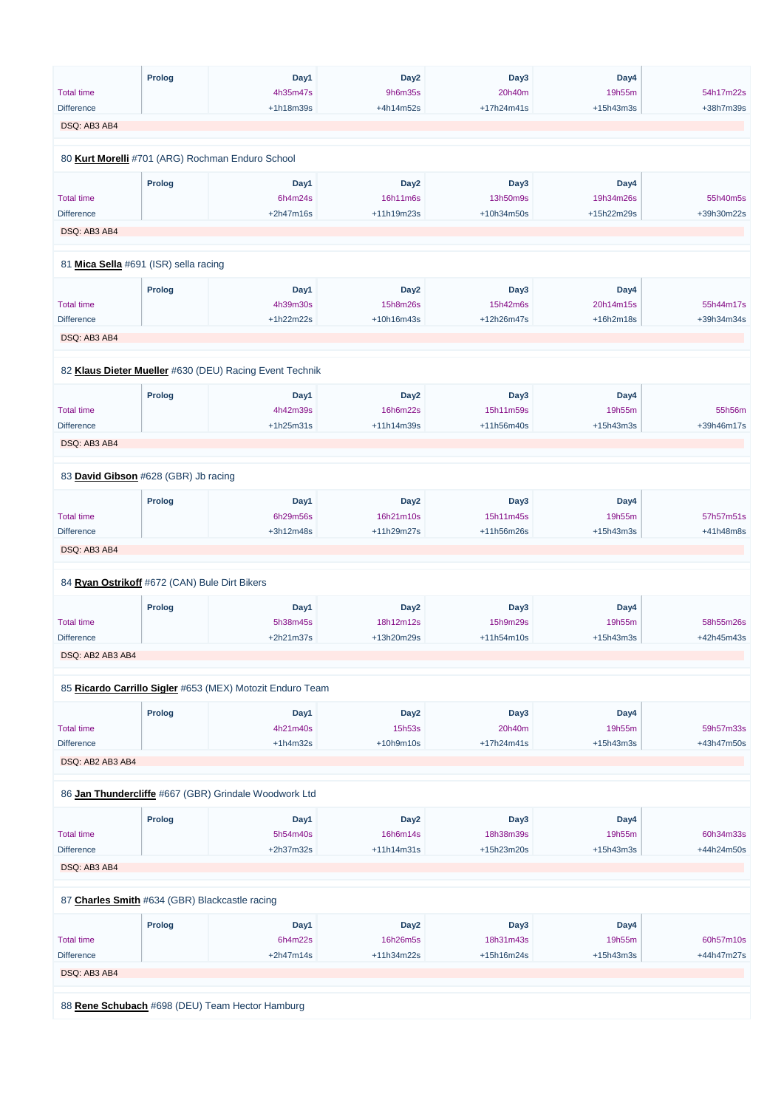|                                               | Prolog        | Day1                                                      | Day <sub>2</sub> | Day3       | Day4        |            |
|-----------------------------------------------|---------------|-----------------------------------------------------------|------------------|------------|-------------|------------|
| <b>Total time</b>                             |               | 4h35m47s                                                  | 9h6m35s          | 20h40m     | 19h55m      | 54h17m22s  |
| <b>Difference</b>                             |               | +1h18m39s                                                 | +4h14m52s        | +17h24m41s | $+15h43m3s$ | +38h7m39s  |
| DSQ: AB3 AB4                                  |               |                                                           |                  |            |             |            |
|                                               |               |                                                           |                  |            |             |            |
|                                               |               | 80 Kurt Morelli #701 (ARG) Rochman Enduro School          |                  |            |             |            |
|                                               | <b>Prolog</b> | Day1                                                      | Day <sub>2</sub> | Day3       | Day4        |            |
| <b>Total time</b>                             |               | 6h4m24s                                                   | 16h11m6s         | 13h50m9s   | 19h34m26s   | 55h40m5s   |
| <b>Difference</b>                             |               | +2h47m16s                                                 | +11h19m23s       | +10h34m50s | +15h22m29s  | +39h30m22s |
| DSQ: AB3 AB4                                  |               |                                                           |                  |            |             |            |
| 81 Mica Sella #691 (ISR) sella racing         |               |                                                           |                  |            |             |            |
|                                               |               |                                                           |                  |            |             |            |
|                                               | <b>Prolog</b> | Day1                                                      | Day <sub>2</sub> | Day3       | Day4        |            |
| <b>Total time</b>                             |               | 4h39m30s                                                  | 15h8m26s         | 15h42m6s   | 20h14m15s   | 55h44m17s  |
| <b>Difference</b>                             |               | +1h22m22s                                                 | +10h16m43s       | +12h26m47s | +16h2m18s   | +39h34m34s |
| DSQ: AB3 AB4                                  |               |                                                           |                  |            |             |            |
|                                               |               |                                                           |                  |            |             |            |
|                                               |               | 82 Klaus Dieter Mueller #630 (DEU) Racing Event Technik   |                  |            |             |            |
|                                               | <b>Prolog</b> | Day1                                                      | Day <sub>2</sub> | Day3       | Day4        |            |
| <b>Total time</b>                             |               | 4h42m39s                                                  | 16h6m22s         | 15h11m59s  | 19h55m      | 55h56m     |
| <b>Difference</b>                             |               | $+1h25m31s$                                               | +11h14m39s       | +11h56m40s | $+15h43m3s$ | +39h46m17s |
|                                               |               |                                                           |                  |            |             |            |
| DSQ: AB3 AB4                                  |               |                                                           |                  |            |             |            |
| 83 David Gibson #628 (GBR) Jb racing          |               |                                                           |                  |            |             |            |
|                                               | <b>Prolog</b> | Day1                                                      | Day <sub>2</sub> | Day3       | Day4        |            |
| <b>Total time</b>                             |               | 6h29m56s                                                  | 16h21m10s        | 15h11m45s  | 19h55m      | 57h57m51s  |
| <b>Difference</b>                             |               | +3h12m48s                                                 | +11h29m27s       | +11h56m26s | $+15h43m3s$ | +41h48m8s  |
| DSQ: AB3 AB4                                  |               |                                                           |                  |            |             |            |
|                                               |               |                                                           |                  |            |             |            |
| 84 Ryan Ostrikoff #672 (CAN) Bule Dirt Bikers |               |                                                           |                  |            |             |            |
|                                               | <b>Prolog</b> | Day1                                                      | Day <sub>2</sub> | Day3       | Day4        |            |
| <b>Total time</b>                             |               | 5h38m45s                                                  | 18h12m12s        | 15h9m29s   | 19h55m      | 58h55m26s  |
| <b>Difference</b>                             |               | +2h21m37s                                                 | +13h20m29s       | +11h54m10s | $+15h43m3s$ | +42h45m43s |
| DSQ: AB2 AB3 AB4                              |               |                                                           |                  |            |             |            |
|                                               |               |                                                           |                  |            |             |            |
|                                               |               | 85 Ricardo Carrillo Sigler #653 (MEX) Motozit Enduro Team |                  |            |             |            |
|                                               | <b>Prolog</b> | Day1                                                      | Day <sub>2</sub> | Day3       | Day4        |            |
| <b>Total time</b>                             |               | 4h21m40s                                                  | 15h53s           | 20h40m     | 19h55m      | 59h57m33s  |
| <b>Difference</b>                             |               | $+1h4m32s$                                                | $+10h9m10s$      | +17h24m41s | $+15h43m3s$ | +43h47m50s |
| DSQ: AB2 AB3 AB4                              |               |                                                           |                  |            |             |            |
|                                               |               |                                                           |                  |            |             |            |
|                                               |               | 86 Jan Thundercliffe #667 (GBR) Grindale Woodwork Ltd     |                  |            |             |            |
|                                               | <b>Prolog</b> | Day1                                                      | Day <sub>2</sub> | Day3       | Day4        |            |

Total time

5h54m40s

16h6m14s

18h38m39s

19h55m

60h34m33s

| <b>Difference</b>                              |                                                 | $+2h37m32s$ | $+11h14m31s$     | $+15h23m20s$ | $+15h43m3s$ | +44h24m50s |  |  |
|------------------------------------------------|-------------------------------------------------|-------------|------------------|--------------|-------------|------------|--|--|
| DSQ: AB3 AB4                                   |                                                 |             |                  |              |             |            |  |  |
|                                                |                                                 |             |                  |              |             |            |  |  |
| 87 Charles Smith #634 (GBR) Blackcastle racing |                                                 |             |                  |              |             |            |  |  |
|                                                | <b>Prolog</b>                                   | Day1        | Day <sub>2</sub> | Day3         | Day4        |            |  |  |
| <b>Total time</b>                              |                                                 | 6h4m22s     | 16h26m5s         | 18h31m43s    | 19h55m      | 60h57m10s  |  |  |
| <b>Difference</b>                              |                                                 | $+2h47m14s$ | $+11h34m22s$     | $+15h16m24s$ | $+15h43m3s$ | +44h47m27s |  |  |
| DSQ: AB3 AB4                                   |                                                 |             |                  |              |             |            |  |  |
|                                                |                                                 |             |                  |              |             |            |  |  |
|                                                | 88 Rene Schubach #698 (DEU) Team Hector Hamburg |             |                  |              |             |            |  |  |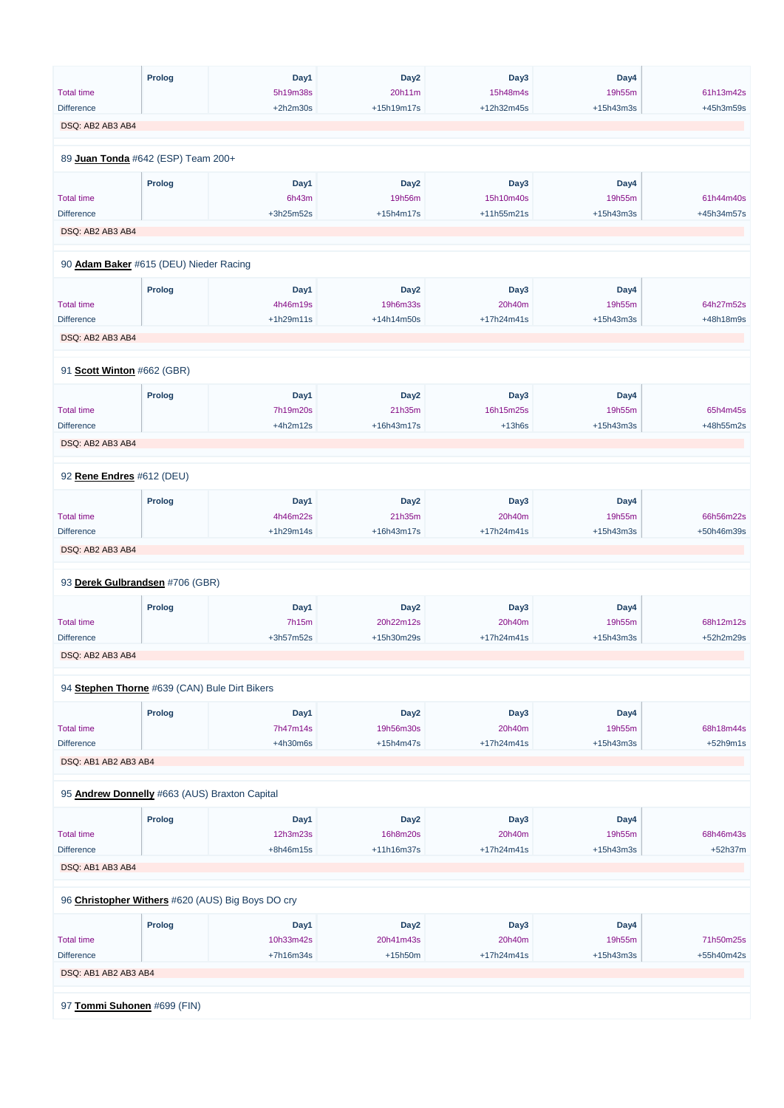|                                               | Prolog        | Day1        | Day <sub>2</sub> | Day3       | Day4        |            |
|-----------------------------------------------|---------------|-------------|------------------|------------|-------------|------------|
| <b>Total time</b>                             |               | 5h19m38s    | 20h11m           | 15h48m4s   | 19h55m      | 61h13m42s  |
| <b>Difference</b>                             |               | $+2h2m30s$  | +15h19m17s       | +12h32m45s | $+15h43m3s$ | +45h3m59s  |
| DSQ: AB2 AB3 AB4                              |               |             |                  |            |             |            |
|                                               |               |             |                  |            |             |            |
| 89 Juan Tonda #642 (ESP) Team 200+            |               |             |                  |            |             |            |
|                                               | <b>Prolog</b> | Day1        | Day <sub>2</sub> | Day3       | Day4        |            |
| <b>Total time</b>                             |               | 6h43m       | 19h56m           | 15h10m40s  | 19h55m      | 61h44m40s  |
| <b>Difference</b>                             |               | +3h25m52s   | $+15h4m17s$      | +11h55m21s | $+15h43m3s$ | +45h34m57s |
| DSQ: AB2 AB3 AB4                              |               |             |                  |            |             |            |
| 90 Adam Baker #615 (DEU) Nieder Racing        |               |             |                  |            |             |            |
|                                               |               |             |                  |            |             |            |
|                                               | Prolog        | Day1        | Day <sub>2</sub> | Day3       | Day4        |            |
| <b>Total time</b>                             |               | 4h46m19s    | 19h6m33s         | 20h40m     | 19h55m      | 64h27m52s  |
| <b>Difference</b>                             |               | $+1h29m11s$ | +14h14m50s       | +17h24m41s | +15h43m3s   | +48h18m9s  |
| DSQ: AB2 AB3 AB4                              |               |             |                  |            |             |            |
|                                               |               |             |                  |            |             |            |
| 91 Scott Winton #662 (GBR)                    |               |             |                  |            |             |            |
|                                               | <b>Prolog</b> | Day1        | Day <sub>2</sub> | Day3       | Day4        |            |
| <b>Total time</b>                             |               | 7h19m20s    | 21h35m           | 16h15m25s  | 19h55m      | 65h4m45s   |
| <b>Difference</b>                             |               | $+4h2m12s$  | +16h43m17s       | $+13h6s$   | $+15h43m3s$ | +48h55m2s  |
| DSQ: AB2 AB3 AB4                              |               |             |                  |            |             |            |
|                                               |               |             |                  |            |             |            |
| 92 Rene Endres #612 (DEU)                     |               |             |                  |            |             |            |
|                                               | <b>Prolog</b> | Day1        | Day <sub>2</sub> | Day3       | Day4        |            |
| <b>Total time</b>                             |               | 4h46m22s    | 21h35m           | 20h40m     | 19h55m      | 66h56m22s  |
| <b>Difference</b>                             |               | $+1h29m14s$ | +16h43m17s       | +17h24m41s | +15h43m3s   | +50h46m39s |
| DSQ: AB2 AB3 AB4                              |               |             |                  |            |             |            |
| 93 Derek Gulbrandsen #706 (GBR)               |               |             |                  |            |             |            |
|                                               |               |             |                  |            |             |            |
|                                               | <b>Prolog</b> | Day1        | Day <sub>2</sub> | Day3       | Day4        |            |
| <b>Total time</b>                             |               | 7h15m       | 20h22m12s        | 20h40m     | 19h55m      | 68h12m12s  |
| <b>Difference</b>                             |               | +3h57m52s   | +15h30m29s       | +17h24m41s | +15h43m3s   | +52h2m29s  |
| DSQ: AB2 AB3 AB4                              |               |             |                  |            |             |            |
| 94 Stephen Thorne #639 (CAN) Bule Dirt Bikers |               |             |                  |            |             |            |
|                                               | <b>Prolog</b> | Day1        | Day <sub>2</sub> | Day3       | Day4        |            |
| <b>Total time</b>                             |               | 7h47m14s    | 19h56m30s        | 20h40m     | 19h55m      | 68h18m44s  |
| <b>Difference</b>                             |               | +4h30m6s    | $+15h4m47s$      | +17h24m41s | +15h43m3s   | $+52h9m1s$ |
| DSQ: AB1 AB2 AB3 AB4                          |               |             |                  |            |             |            |
|                                               |               |             |                  |            |             |            |
| 95 Andrew Donnelly #663 (AUS) Braxton Capital |               |             |                  |            |             |            |
|                                               | Prolog        | Day1        | Day <sub>2</sub> | Day3       | Day4        |            |

12h3m23s

Total time

16h8m20s

20h40m

| <b>Total time</b>           |               | 12h3m23s                                          | 16h8m20s         | 20h40m       | 19h55m      | 68h46m43s  |
|-----------------------------|---------------|---------------------------------------------------|------------------|--------------|-------------|------------|
| <b>Difference</b>           |               | $+8h46m15s$                                       | $+11h16m37s$     | $+17h24m41s$ | $+15h43m3s$ | $+52h37m$  |
| DSQ: AB1 AB3 AB4            |               |                                                   |                  |              |             |            |
|                             |               | 96 Christopher Withers #620 (AUS) Big Boys DO cry |                  |              |             |            |
|                             | <b>Prolog</b> | Day1                                              | Day <sub>2</sub> | Day3         | Day4        |            |
| <b>Total time</b>           |               | 10h33m42s                                         | 20h41m43s        | 20h40m       | 19h55m      | 71h50m25s  |
| <b>Difference</b>           |               | $+7h16m34s$                                       | $+15h50m$        | $+17h24m41s$ | $+15h43m3s$ | +55h40m42s |
| DSQ: AB1 AB2 AB3 AB4        |               |                                                   |                  |              |             |            |
|                             |               |                                                   |                  |              |             |            |
| 97 Tommi Suhonen #699 (FIN) |               |                                                   |                  |              |             |            |